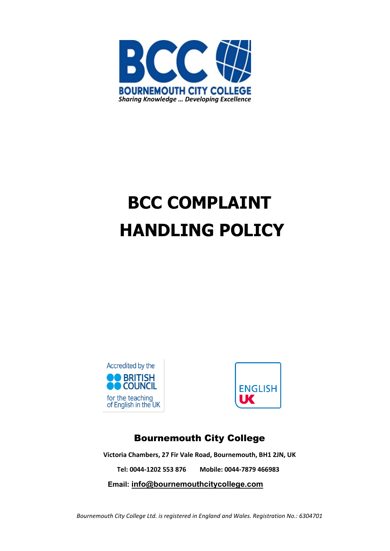

# **BCC COMPLAINT HANDLING POLICY**





# Bournemouth City College

**Victoria Chambers, 27 Fir Vale Road, Bournemouth, BH1 2JN, UK**

**Tel: 0044-1202 553 876 Mobile: 0044-7879 466983**

**Email: [info@bournemouthcitycollege.com](mailto:info@bournemouthcitycollege.com)**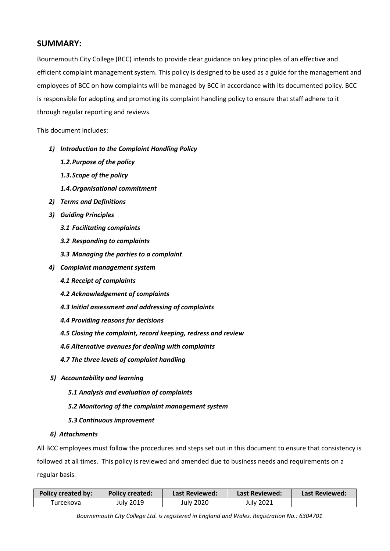## **SUMMARY:**

Bournemouth City College (BCC) intends to provide clear guidance on key principles of an effective and efficient complaint management system. This policy is designed to be used as a guide for the management and employees of BCC on how complaints will be managed by BCC in accordance with its documented policy. BCC is responsible for adopting and promoting its complaint handling policy to ensure that staff adhere to it through regular reporting and reviews.

This document includes:

- *1) Introduction to the Complaint Handling Policy*
	- *1.2.Purpose of the policy*
	- *1.3.Scope of the policy*
	- *1.4.Organisational commitment*
- *2) Terms and Definitions*
- *3) Guiding Principles*
	- *3.1 Facilitating complaints*
	- *3.2 Responding to complaints*
	- *3.3 Managing the parties to a complaint*
- *4) Complaint management system*
	- *4.1 Receipt of complaints*
	- *4.2 Acknowledgement of complaints*
	- *4.3 Initial assessment and addressing of complaints*
	- *4.4 Providing reasons for decisions*
	- *4.5 Closing the complaint, record keeping, redress and review*
	- *4.6 Alternative avenues for dealing with complaints*
	- *4.7 The three levels of complaint handling*
- *5) Accountability and learning*
	- *5.1 Analysis and evaluation of complaints*
	- *5.2 Monitoring of the complaint management system*
	- *5.3 Continuous improvement*

#### *6) Attachments*

All BCC employees must follow the procedures and steps set out in this document to ensure that consistency is followed at all times. This policy is reviewed and amended due to business needs and requirements on a regular basis.

| Policy created by: | <b>Policy created:</b> | <b>Last Reviewed:</b> | <b>Last Reviewed:</b> | <b>Last Reviewed:</b> |  |
|--------------------|------------------------|-----------------------|-----------------------|-----------------------|--|
| Turcekova          | July 2019              | July 2020             | July 2021             |                       |  |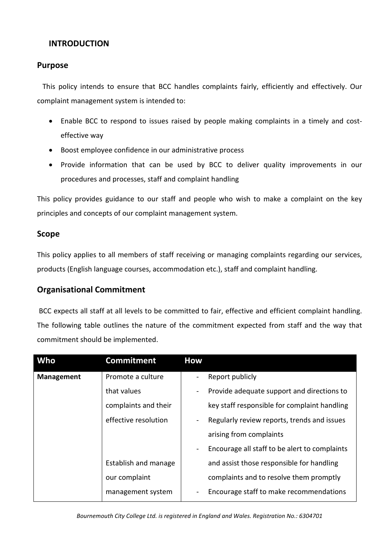# **INTRODUCTION**

## **Purpose**

 This policy intends to ensure that BCC handles complaints fairly, efficiently and effectively. Our complaint management system is intended to:

- Enable BCC to respond to issues raised by people making complaints in a timely and costeffective way
- Boost employee confidence in our administrative process
- Provide information that can be used by BCC to deliver quality improvements in our procedures and processes, staff and complaint handling

This policy provides guidance to our staff and people who wish to make a complaint on the key principles and concepts of our complaint management system.

## **Scope**

This policy applies to all members of staff receiving or managing complaints regarding our services, products (English language courses, accommodation etc.), staff and complaint handling.

## **Organisational Commitment**

BCC expects all staff at all levels to be committed to fair, effective and efficient complaint handling. The following table outlines the nature of the commitment expected from staff and the way that commitment should be implemented.

| Who               | <b>Commitment</b>    | <b>How</b>               |                                               |
|-------------------|----------------------|--------------------------|-----------------------------------------------|
| <b>Management</b> | Promote a culture    |                          | Report publicly                               |
|                   | that values          | $\blacksquare$           | Provide adequate support and directions to    |
|                   | complaints and their |                          | key staff responsible for complaint handling  |
|                   | effective resolution | $\blacksquare$           | Regularly review reports, trends and issues   |
|                   |                      |                          | arising from complaints                       |
|                   |                      | $\overline{\phantom{a}}$ | Encourage all staff to be alert to complaints |
|                   | Establish and manage |                          | and assist those responsible for handling     |
|                   | our complaint        |                          | complaints and to resolve them promptly       |
|                   | management system    |                          | Encourage staff to make recommendations       |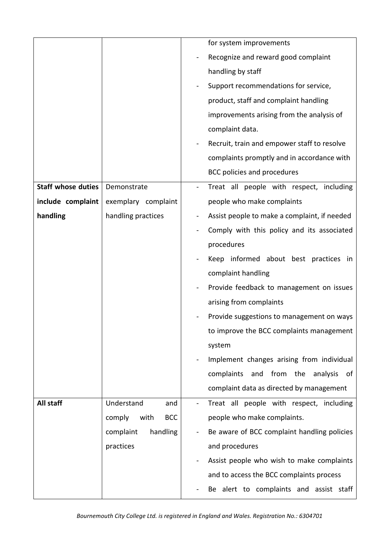|                           |                              |                                             | for system improvements                      |  |  |  |
|---------------------------|------------------------------|---------------------------------------------|----------------------------------------------|--|--|--|
|                           |                              |                                             |                                              |  |  |  |
|                           |                              |                                             | Recognize and reward good complaint          |  |  |  |
|                           |                              |                                             | handling by staff                            |  |  |  |
|                           |                              |                                             | Support recommendations for service,         |  |  |  |
|                           |                              |                                             | product, staff and complaint handling        |  |  |  |
|                           |                              |                                             | improvements arising from the analysis of    |  |  |  |
|                           |                              | complaint data.                             |                                              |  |  |  |
|                           |                              | Recruit, train and empower staff to resolve |                                              |  |  |  |
|                           |                              |                                             | complaints promptly and in accordance with   |  |  |  |
|                           |                              |                                             | <b>BCC policies and procedures</b>           |  |  |  |
| <b>Staff whose duties</b> | Demonstrate                  |                                             | Treat all people with respect, including     |  |  |  |
| include complaint         | exemplary complaint          |                                             | people who make complaints                   |  |  |  |
| handling                  | handling practices           |                                             | Assist people to make a complaint, if needed |  |  |  |
|                           |                              |                                             | Comply with this policy and its associated   |  |  |  |
|                           |                              |                                             | procedures                                   |  |  |  |
|                           |                              |                                             | Keep informed about best practices in        |  |  |  |
|                           |                              |                                             | complaint handling                           |  |  |  |
|                           |                              |                                             | Provide feedback to management on issues     |  |  |  |
|                           |                              |                                             | arising from complaints                      |  |  |  |
|                           |                              | Provide suggestions to management on ways   |                                              |  |  |  |
|                           |                              |                                             | to improve the BCC complaints management     |  |  |  |
|                           |                              |                                             | system                                       |  |  |  |
|                           |                              |                                             | Implement changes arising from individual    |  |  |  |
|                           |                              |                                             | and from the<br>complaints<br>analysis<br>of |  |  |  |
|                           |                              |                                             | complaint data as directed by management     |  |  |  |
| All staff                 | Understand<br>and            |                                             | Treat all people with respect, including     |  |  |  |
|                           | with<br>comply<br><b>BCC</b> |                                             | people who make complaints.                  |  |  |  |
|                           | handling<br>complaint        |                                             | Be aware of BCC complaint handling policies  |  |  |  |
|                           | practices                    |                                             | and procedures                               |  |  |  |
|                           |                              |                                             | Assist people who wish to make complaints    |  |  |  |
|                           |                              |                                             | and to access the BCC complaints process     |  |  |  |
|                           |                              |                                             | Be alert to complaints and assist staff      |  |  |  |
|                           |                              |                                             |                                              |  |  |  |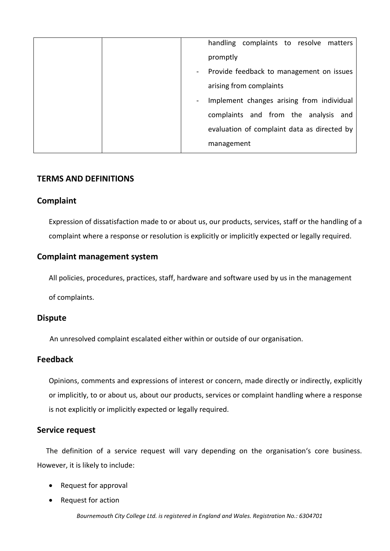|  |            | handling complaints to resolve matters                                                                           |  |  |  |  |  |
|--|------------|------------------------------------------------------------------------------------------------------------------|--|--|--|--|--|
|  |            | promptly                                                                                                         |  |  |  |  |  |
|  | $\sim$ $-$ | Provide feedback to management on issues<br>arising from complaints<br>Implement changes arising from individual |  |  |  |  |  |
|  |            |                                                                                                                  |  |  |  |  |  |
|  |            |                                                                                                                  |  |  |  |  |  |
|  |            | complaints and from the analysis and                                                                             |  |  |  |  |  |
|  |            | evaluation of complaint data as directed by                                                                      |  |  |  |  |  |
|  |            | management                                                                                                       |  |  |  |  |  |

## **TERMS AND DEFINITIONS**

## **Complaint**

Expression of dissatisfaction made to or about us, our products, services, staff or the handling of a complaint where a response or resolution is explicitly or implicitly expected or legally required.

## **Complaint management system**

All policies, procedures, practices, staff, hardware and software used by us in the management

of complaints.

## **Dispute**

An unresolved complaint escalated either within or outside of our organisation.

## **Feedback**

Opinions, comments and expressions of interest or concern, made directly or indirectly, explicitly or implicitly, to or about us, about our products, services or complaint handling where a response is not explicitly or implicitly expected or legally required.

## **Service request**

 The definition of a service request will vary depending on the organisation's core business. However, it is likely to include:

- Request for approval
- Request for action

*Bournemouth City College Ltd. is registered in England and Wales. Registration No.: 6304701*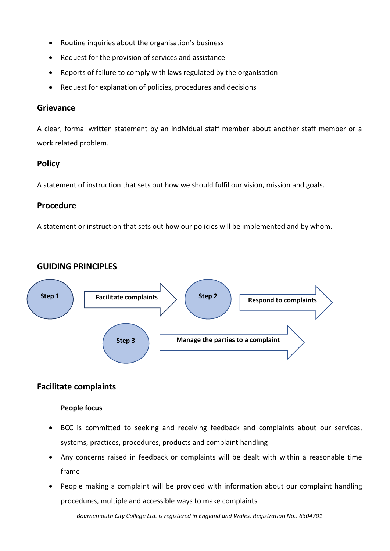- Routine inquiries about the organisation's business
- Request for the provision of services and assistance
- Reports of failure to comply with laws regulated by the organisation
- Request for explanation of policies, procedures and decisions

## **Grievance**

A clear, formal written statement by an individual staff member about another staff member or a work related problem.

# **Policy**

A statement of instruction that sets out how we should fulfil our vision, mission and goals.

# **Procedure**

A statement or instruction that sets out how our policies will be implemented and by whom.

# **GUIDING PRINCIPLES**



# **Facilitate complaints**

## **People focus**

- BCC is committed to seeking and receiving feedback and complaints about our services, systems, practices, procedures, products and complaint handling
- Any concerns raised in feedback or complaints will be dealt with within a reasonable time frame
- People making a complaint will be provided with information about our complaint handling procedures, multiple and accessible ways to make complaints

*Bournemouth City College Ltd. is registered in England and Wales. Registration No.: 6304701*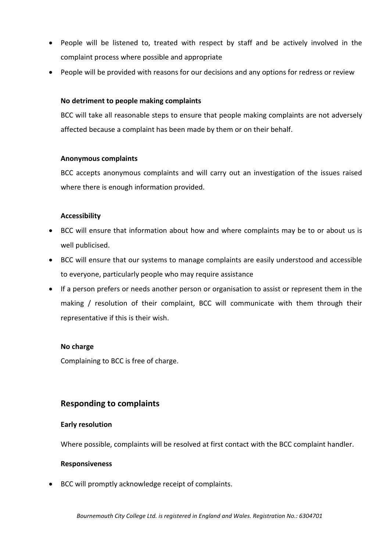- People will be listened to, treated with respect by staff and be actively involved in the complaint process where possible and appropriate
- People will be provided with reasons for our decisions and any options for redress or review

#### **No detriment to people making complaints**

BCC will take all reasonable steps to ensure that people making complaints are not adversely affected because a complaint has been made by them or on their behalf.

#### **Anonymous complaints**

BCC accepts anonymous complaints and will carry out an investigation of the issues raised where there is enough information provided.

#### **Accessibility**

- BCC will ensure that information about how and where complaints may be to or about us is well publicised.
- BCC will ensure that our systems to manage complaints are easily understood and accessible to everyone, particularly people who may require assistance
- If a person prefers or needs another person or organisation to assist or represent them in the making / resolution of their complaint, BCC will communicate with them through their representative if this is their wish.

#### **No charge**

Complaining to BCC is free of charge.

## **Responding to complaints**

#### **Early resolution**

Where possible, complaints will be resolved at first contact with the BCC complaint handler.

#### **Responsiveness**

• BCC will promptly acknowledge receipt of complaints.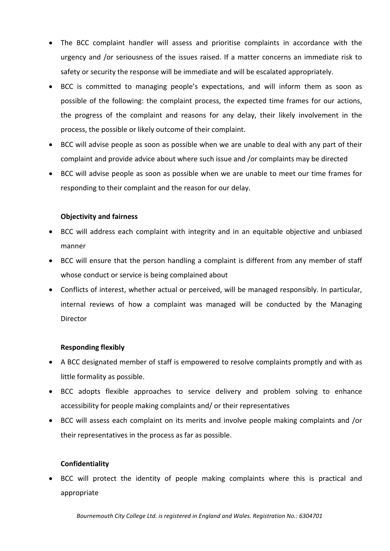- The BCC complaint handler will assess and prioritise complaints in accordance with the urgency and /or seriousness of the issues raised. If a matter concerns an immediate risk to safety or security the response will be immediate and will be escalated appropriately.
- BCC is committed to managing people's expectations, and will inform them as soon as possible of the following: the complaint process, the expected time frames for our actions, the progress of the complaint and reasons for any delay, their likely involvement in the process, the possible or likely outcome of their complaint.
- BCC will advise people as soon as possible when we are unable to deal with any part of their complaint and provide advice about where such issue and /or complaints may be directed
- BCC will advise people as soon as possible when we are unable to meet our time frames for responding to their complaint and the reason for our delay.

## **Objectivity and fairness**

- BCC will address each complaint with integrity and in an equitable objective and unbiased manner
- BCC will ensure that the person handling a complaint is different from any member of staff whose conduct or service is being complained about
- Conflicts of interest, whether actual or perceived, will be managed responsibly. In particular, internal reviews of how a complaint was managed will be conducted by the Managing Director

#### **Responding flexibly**

- A BCC designated member of staff is empowered to resolve complaints promptly and with as little formality as possible.
- BCC adopts flexible approaches to service delivery and problem solving to enhance accessibility for people making complaints and/ or their representatives
- BCC will assess each complaint on its merits and involve people making complaints and /or their representatives in the process as far as possible.

#### **Confidentiality**

• BCC will protect the identity of people making complaints where this is practical and appropriate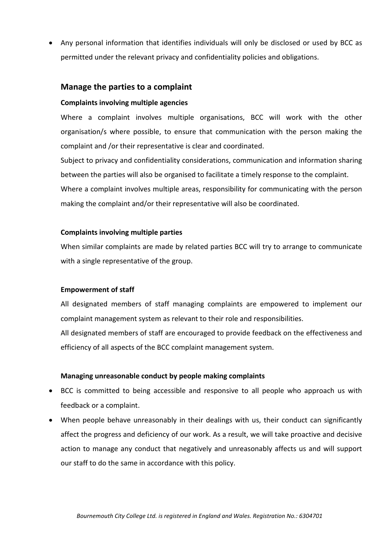• Any personal information that identifies individuals will only be disclosed or used by BCC as permitted under the relevant privacy and confidentiality policies and obligations.

## **Manage the parties to a complaint**

#### **Complaints involving multiple agencies**

Where a complaint involves multiple organisations, BCC will work with the other organisation/s where possible, to ensure that communication with the person making the complaint and /or their representative is clear and coordinated.

Subject to privacy and confidentiality considerations, communication and information sharing between the parties will also be organised to facilitate a timely response to the complaint. Where a complaint involves multiple areas, responsibility for communicating with the person making the complaint and/or their representative will also be coordinated.

#### **Complaints involving multiple parties**

When similar complaints are made by related parties BCC will try to arrange to communicate with a single representative of the group.

#### **Empowerment of staff**

All designated members of staff managing complaints are empowered to implement our complaint management system as relevant to their role and responsibilities.

All designated members of staff are encouraged to provide feedback on the effectiveness and efficiency of all aspects of the BCC complaint management system.

#### **Managing unreasonable conduct by people making complaints**

- BCC is committed to being accessible and responsive to all people who approach us with feedback or a complaint.
- When people behave unreasonably in their dealings with us, their conduct can significantly affect the progress and deficiency of our work. As a result, we will take proactive and decisive action to manage any conduct that negatively and unreasonably affects us and will support our staff to do the same in accordance with this policy.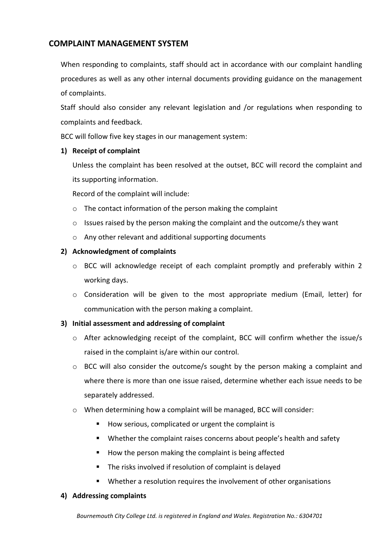# **COMPLAINT MANAGEMENT SYSTEM**

When responding to complaints, staff should act in accordance with our complaint handling procedures as well as any other internal documents providing guidance on the management of complaints.

Staff should also consider any relevant legislation and /or regulations when responding to complaints and feedback.

BCC will follow five key stages in our management system:

## **1) Receipt of complaint**

Unless the complaint has been resolved at the outset, BCC will record the complaint and its supporting information.

Record of the complaint will include:

- o The contact information of the person making the complaint
- o Issues raised by the person making the complaint and the outcome/s they want
- o Any other relevant and additional supporting documents

## **2) Acknowledgment of complaints**

- o BCC will acknowledge receipt of each complaint promptly and preferably within 2 working days.
- o Consideration will be given to the most appropriate medium (Email, letter) for communication with the person making a complaint.

## **3) Initial assessment and addressing of complaint**

- o After acknowledging receipt of the complaint, BCC will confirm whether the issue/s raised in the complaint is/are within our control.
- $\circ$  BCC will also consider the outcome/s sought by the person making a complaint and where there is more than one issue raised, determine whether each issue needs to be separately addressed.
- o When determining how a complaint will be managed, BCC will consider:
	- How serious, complicated or urgent the complaint is
	- Whether the complaint raises concerns about people's health and safety
	- How the person making the complaint is being affected
	- **The risks involved if resolution of complaint is delayed**
	- **Num** Whether a resolution requires the involvement of other organisations

#### **4) Addressing complaints**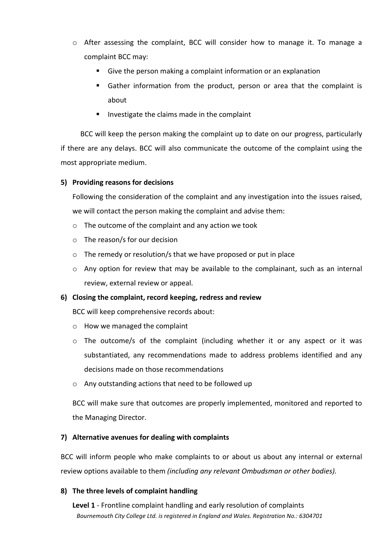- o After assessing the complaint, BCC will consider how to manage it. To manage a complaint BCC may:
	- Give the person making a complaint information or an explanation
	- Gather information from the product, person or area that the complaint is about
	- Investigate the claims made in the complaint

 BCC will keep the person making the complaint up to date on our progress, particularly if there are any delays. BCC will also communicate the outcome of the complaint using the most appropriate medium.

## **5) Providing reasons for decisions**

Following the consideration of the complaint and any investigation into the issues raised, we will contact the person making the complaint and advise them:

- o The outcome of the complaint and any action we took
- o The reason/s for our decision
- o The remedy or resolution/s that we have proposed or put in place
- $\circ$  Any option for review that may be available to the complainant, such as an internal review, external review or appeal.

#### **6) Closing the complaint, record keeping, redress and review**

BCC will keep comprehensive records about:

- o How we managed the complaint
- $\circ$  The outcome/s of the complaint (including whether it or any aspect or it was substantiated, any recommendations made to address problems identified and any decisions made on those recommendations
- o Any outstanding actions that need to be followed up

BCC will make sure that outcomes are properly implemented, monitored and reported to the Managing Director.

#### **7) Alternative avenues for dealing with complaints**

BCC will inform people who make complaints to or about us about any internal or external review options available to them *(including any relevant Ombudsman or other bodies).*

#### **8) The three levels of complaint handling**

*Bournemouth City College Ltd. is registered in England and Wales. Registration No.: 6304701* **Level 1** - Frontline complaint handling and early resolution of complaints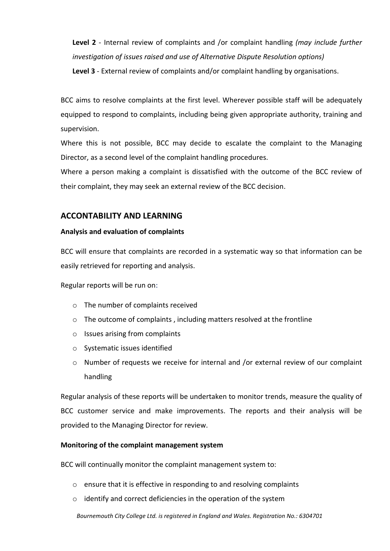**Level 2** - Internal review of complaints and /or complaint handling *(may include further investigation of issues raised and use of Alternative Dispute Resolution options)*

**Level 3** - External review of complaints and/or complaint handling by organisations.

BCC aims to resolve complaints at the first level. Wherever possible staff will be adequately equipped to respond to complaints, including being given appropriate authority, training and supervision.

Where this is not possible, BCC may decide to escalate the complaint to the Managing Director, as a second level of the complaint handling procedures.

Where a person making a complaint is dissatisfied with the outcome of the BCC review of their complaint, they may seek an external review of the BCC decision.

# **ACCONTABILITY AND LEARNING**

## **Analysis and evaluation of complaints**

BCC will ensure that complaints are recorded in a systematic way so that information can be easily retrieved for reporting and analysis.

Regular reports will be run on:

- o The number of complaints received
- $\circ$  The outcome of complaints , including matters resolved at the frontline
- o Issues arising from complaints
- o Systematic issues identified
- $\circ$  Number of requests we receive for internal and /or external review of our complaint handling

Regular analysis of these reports will be undertaken to monitor trends, measure the quality of BCC customer service and make improvements. The reports and their analysis will be provided to the Managing Director for review.

## **Monitoring of the complaint management system**

BCC will continually monitor the complaint management system to:

- o ensure that it is effective in responding to and resolving complaints
- o identify and correct deficiencies in the operation of the system

*Bournemouth City College Ltd. is registered in England and Wales. Registration No.: 6304701*